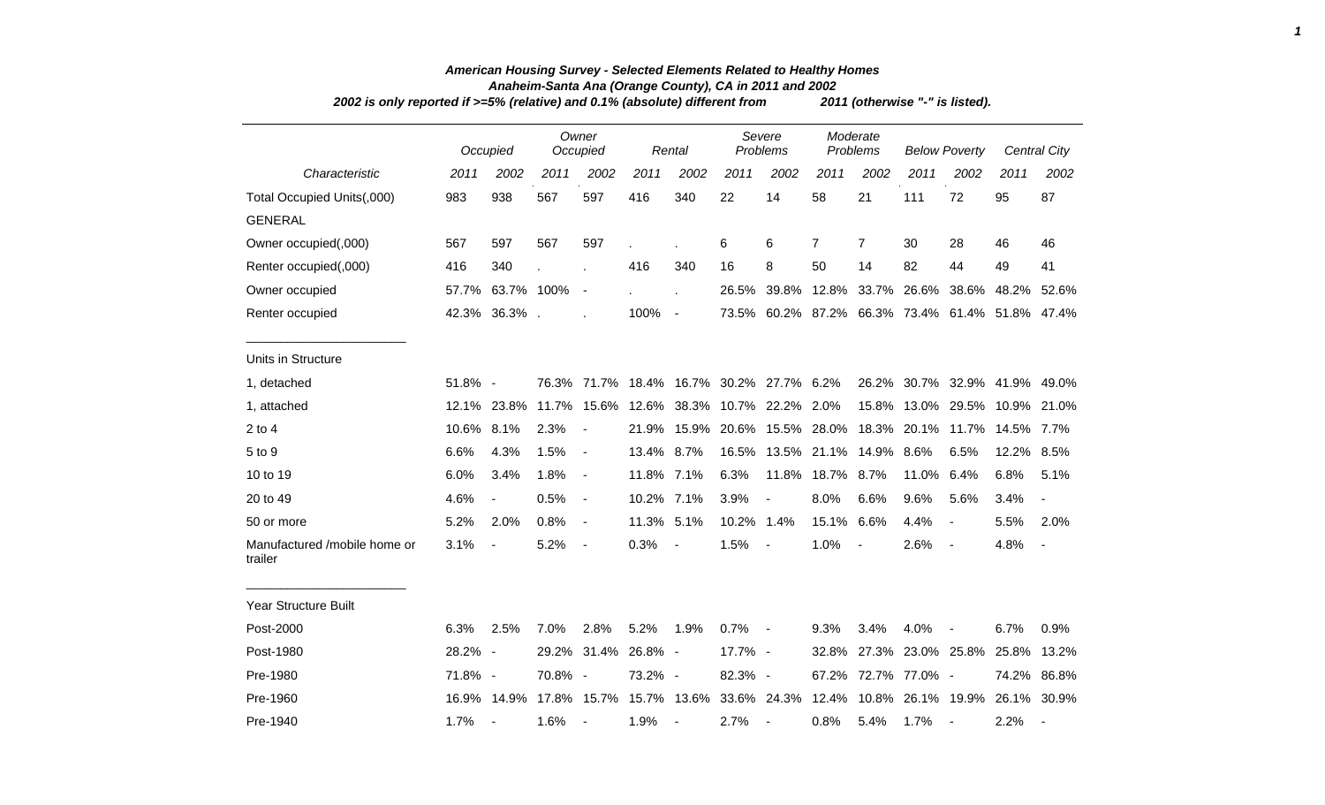| 2002 is only reported if >=5% (relative) and 0.1% (absolute) different from |            |                          |         |                          |            |                          |                    |                                                                                     |                      |                | 2011 (otherwise "-" is listed). |                          |                               |                          |
|-----------------------------------------------------------------------------|------------|--------------------------|---------|--------------------------|------------|--------------------------|--------------------|-------------------------------------------------------------------------------------|----------------------|----------------|---------------------------------|--------------------------|-------------------------------|--------------------------|
|                                                                             |            | Occupied                 |         | Owner<br>Occupied        |            | Rental                   | Severe<br>Problems |                                                                                     | Moderate<br>Problems |                | <b>Below Poverty</b>            |                          |                               | Central City             |
| Characteristic                                                              | 2011       | 2002                     | 2011    | 2002                     | 2011       | 2002                     | 2011               | 2002                                                                                | 2011                 | 2002           | 2011                            | 2002                     | 2011                          | 2002                     |
| Total Occupied Units(,000)                                                  | 983        | 938                      | 567     | 597                      | 416        | 340                      | 22                 | 14                                                                                  | 58                   | 21             | 111                             | 72                       | 95                            | 87                       |
| <b>GENERAL</b>                                                              |            |                          |         |                          |            |                          |                    |                                                                                     |                      |                |                                 |                          |                               |                          |
| Owner occupied(,000)                                                        | 567        | 597                      | 567     | 597                      |            |                          | 6                  | 6                                                                                   | $\overline{7}$       | $\overline{7}$ | 30                              | 28                       | 46                            | 46                       |
| Renter occupied(,000)                                                       | 416        | 340                      |         |                          | 416        | 340                      | 16                 | 8                                                                                   | 50                   | 14             | 82                              | 44                       | 49                            | 41                       |
| Owner occupied                                                              |            | 57.7% 63.7% 100%         |         | $\overline{\phantom{a}}$ |            |                          |                    | 26.5% 39.8% 12.8% 33.7% 26.6%                                                       |                      |                |                                 | 38.6%                    | 48.2%                         | 52.6%                    |
| Renter occupied                                                             |            | 42.3% 36.3%.             |         |                          | 100%       | $\overline{\phantom{a}}$ |                    | 73.5% 60.2% 87.2% 66.3% 73.4% 61.4% 51.8% 47.4%                                     |                      |                |                                 |                          |                               |                          |
| Units in Structure                                                          |            |                          |         |                          |            |                          |                    |                                                                                     |                      |                |                                 |                          |                               |                          |
| 1, detached                                                                 | 51.8% -    |                          |         |                          |            |                          |                    | 76.3% 71.7% 18.4% 16.7% 30.2% 27.7% 6.2%                                            |                      |                |                                 |                          | 26.2% 30.7% 32.9% 41.9% 49.0% |                          |
| 1, attached                                                                 |            | 12.1% 23.8%              |         | 11.7% 15.6%              |            |                          |                    | 12.6% 38.3% 10.7% 22.2% 2.0%                                                        |                      |                |                                 |                          | 15.8% 13.0% 29.5% 10.9% 21.0% |                          |
| $2$ to $4$                                                                  | 10.6% 8.1% |                          | 2.3%    |                          | 21.9%      |                          |                    | 15.9% 20.6% 15.5% 28.0% 18.3% 20.1%                                                 |                      |                |                                 |                          | 11.7% 14.5% 7.7%              |                          |
| 5 to 9                                                                      | 6.6%       | 4.3%                     | 1.5%    | $\blacksquare$           | 13.4% 8.7% |                          |                    | 16.5% 13.5% 21.1% 14.9% 8.6%                                                        |                      |                |                                 | 6.5%                     | 12.2% 8.5%                    |                          |
| 10 to 19                                                                    | 6.0%       | 3.4%                     | 1.8%    | $\blacksquare$           | 11.8% 7.1% |                          | 6.3%               |                                                                                     | 11.8% 18.7% 8.7%     |                | 11.0%                           | 6.4%                     | 6.8%                          | 5.1%                     |
| 20 to 49                                                                    | 4.6%       | $\overline{\phantom{a}}$ | 0.5%    | $\blacksquare$           | 10.2% 7.1% |                          | 3.9%               | $\qquad \qquad \blacksquare$                                                        | 8.0%                 | 6.6%           | 9.6%                            | 5.6%                     | 3.4%                          | $\overline{\phantom{a}}$ |
| 50 or more                                                                  | 5.2%       | 2.0%                     | 0.8%    | $\blacksquare$           | 11.3% 5.1% |                          | 10.2% 1.4%         |                                                                                     | 15.1% 6.6%           |                | 4.4%                            | $\overline{\phantom{a}}$ | 5.5%                          | 2.0%                     |
| Manufactured /mobile home or<br>trailer                                     | 3.1%       | $\blacksquare$           | 5.2%    | $\blacksquare$           | 0.3%       |                          | 1.5%               |                                                                                     | 1.0%                 |                | 2.6%                            | $\overline{\phantom{a}}$ | 4.8%                          | $\overline{\phantom{a}}$ |
| <b>Year Structure Built</b>                                                 |            |                          |         |                          |            |                          |                    |                                                                                     |                      |                |                                 |                          |                               |                          |
| Post-2000                                                                   | 6.3%       | 2.5%                     | 7.0%    | 2.8%                     | 5.2%       | 1.9%                     | 0.7%               | $\overline{\phantom{a}}$                                                            | 9.3%                 | 3.4%           | 4.0%                            |                          | 6.7%                          | 0.9%                     |
| Post-1980                                                                   | 28.2% -    |                          |         | 29.2% 31.4%              | 26.8% -    |                          | 17.7% -            |                                                                                     |                      |                | 32.8% 27.3% 23.0% 25.8% 25.8%   |                          |                               | 13.2%                    |
| Pre-1980                                                                    | 71.8% -    |                          | 70.8% - |                          | 73.2% -    |                          | 82.3% -            |                                                                                     |                      |                | 67.2% 72.7% 77.0% -             |                          | 74.2%                         | 86.8%                    |
| Pre-1960                                                                    |            |                          |         |                          |            |                          |                    | 16.9% 14.9% 17.8% 15.7% 15.7% 13.6% 33.6% 24.3% 12.4% 10.8% 26.1% 19.9% 26.1% 30.9% |                      |                |                                 |                          |                               |                          |

## *American Housing Survey - Selected Elements Related to Healthy Homes Anaheim-Santa Ana (Orange County), CA in 2011 and 2002*

*1*

Pre-1940 1.7% - 1.6% - 1.9% - 2.7% - 0.8% 5.4% 1.7% - 2.2% -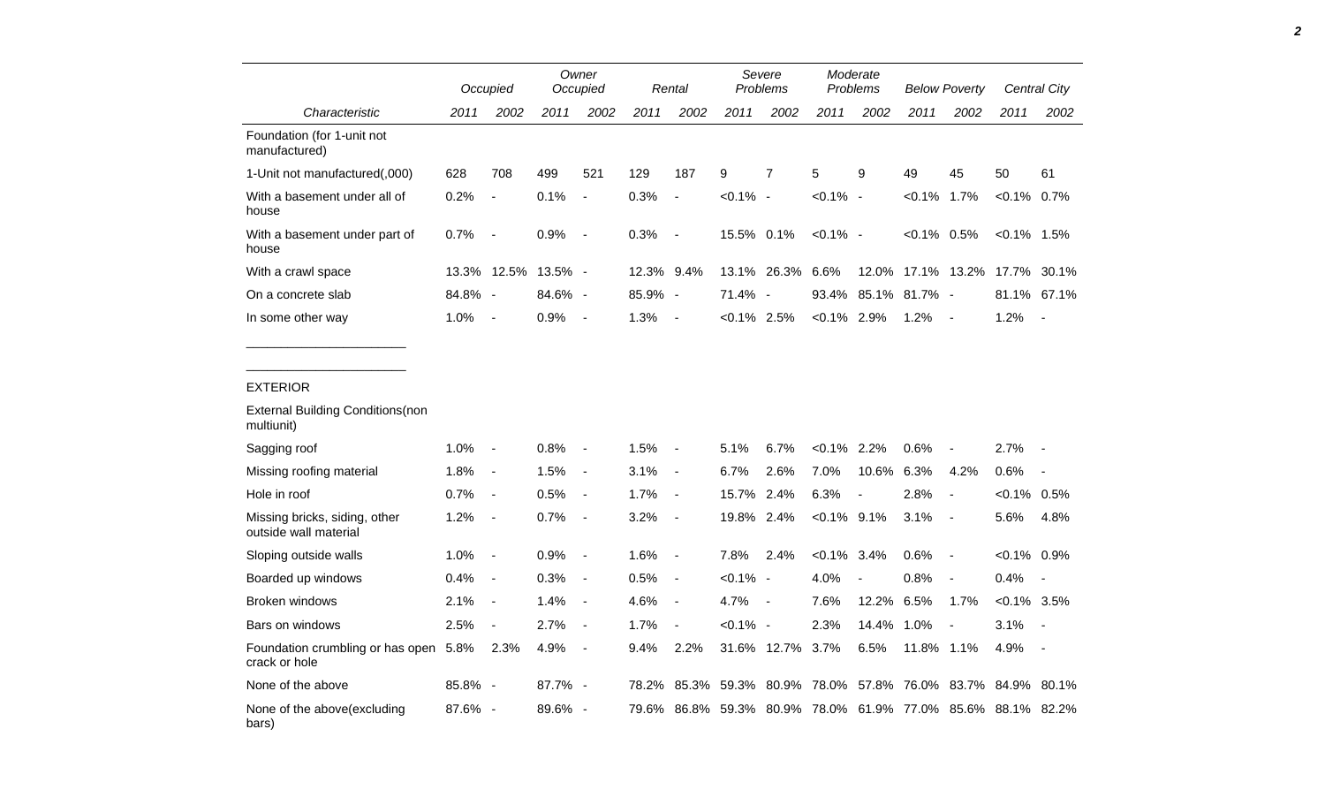|                                                        |         | Occupied                 |                     | Owner<br>Occupied        |            | Rental                   | Severe<br>Problems |                          | Moderate<br>Problems |       | <b>Below Poverty</b> |                          |                                                             | <b>Central City</b>      |
|--------------------------------------------------------|---------|--------------------------|---------------------|--------------------------|------------|--------------------------|--------------------|--------------------------|----------------------|-------|----------------------|--------------------------|-------------------------------------------------------------|--------------------------|
| Characteristic                                         | 2011    | 2002                     | 2011                | 2002                     | 2011       | 2002                     | 2011               | 2002                     | 2011                 | 2002  | 2011                 | 2002                     | 2011                                                        | 2002                     |
| Foundation (for 1-unit not<br>manufactured)            |         |                          |                     |                          |            |                          |                    |                          |                      |       |                      |                          |                                                             |                          |
| 1-Unit not manufactured(,000)                          | 628     | 708                      | 499                 | 521                      | 129        | 187                      | 9                  | 7                        | 5                    | 9     | 49                   | 45                       | 50                                                          | 61                       |
| With a basement under all of<br>house                  | 0.2%    | $\blacksquare$           | 0.1%                | $\overline{\phantom{a}}$ | 0.3%       | $\blacksquare$           | $< 0.1\%$ -        |                          | $< 0.1\%$ -          |       | $< 0.1\%$ 1.7%       |                          | $< 0.1\%$ 0.7%                                              |                          |
| With a basement under part of<br>house                 | 0.7%    | $\overline{a}$           | 0.9%                | $\overline{\phantom{a}}$ | 0.3%       | $\overline{\phantom{a}}$ | 15.5% 0.1%         |                          | $< 0.1\%$ -          |       | $< 0.1\%$ 0.5%       |                          | $< 0.1\%$ 1.5%                                              |                          |
| With a crawl space                                     |         |                          | 13.3% 12.5% 13.5% - |                          | 12.3% 9.4% |                          |                    | 13.1% 26.3% 6.6%         |                      |       |                      |                          | 12.0% 17.1% 13.2% 17.7%                                     | 30.1%                    |
| On a concrete slab                                     | 84.8% - |                          | 84.6% -             |                          | 85.9% -    |                          | 71.4% -            |                          |                      |       | 93.4% 85.1% 81.7% -  |                          | 81.1%                                                       | 67.1%                    |
| In some other way                                      | 1.0%    | $\overline{\phantom{a}}$ | 0.9%                | $\blacksquare$           | 1.3%       | $\blacksquare$           | $< 0.1\%$ 2.5%     |                          | $< 0.1\%$ 2.9%       |       | 1.2%                 | $\overline{\phantom{a}}$ | 1.2%                                                        | $\overline{\phantom{a}}$ |
| <b>EXTERIOR</b>                                        |         |                          |                     |                          |            |                          |                    |                          |                      |       |                      |                          |                                                             |                          |
| <b>External Building Conditions (non</b><br>multiunit) |         |                          |                     |                          |            |                          |                    |                          |                      |       |                      |                          |                                                             |                          |
| Sagging roof                                           | 1.0%    | $\overline{\phantom{a}}$ | 0.8%                | $\overline{\phantom{a}}$ | 1.5%       | $\overline{\phantom{a}}$ | 5.1%               | 6.7%                     | $< 0.1\%$ 2.2%       |       | 0.6%                 | $\overline{\phantom{a}}$ | 2.7%                                                        |                          |
| Missing roofing material                               | 1.8%    | $\overline{\phantom{a}}$ | 1.5%                | $\overline{\phantom{a}}$ | 3.1%       | $\blacksquare$           | 6.7%               | 2.6%                     | 7.0%                 | 10.6% | 6.3%                 | 4.2%                     | 0.6%                                                        |                          |
| Hole in roof                                           | 0.7%    | $\frac{1}{2}$            | 0.5%                | $\overline{\phantom{a}}$ | 1.7%       | $\overline{\phantom{a}}$ | 15.7%              | 2.4%                     | 6.3%                 |       | 2.8%                 | $\overline{a}$           | $< 0.1\%$ 0.5%                                              |                          |
| Missing bricks, siding, other<br>outside wall material | 1.2%    | $\overline{\phantom{a}}$ | 0.7%                | $\overline{\phantom{a}}$ | 3.2%       | $\blacksquare$           | 19.8% 2.4%         |                          | $< 0.1\%$ 9.1%       |       | 3.1%                 | $\blacksquare$           | 5.6%                                                        | 4.8%                     |
| Sloping outside walls                                  | 1.0%    | $\overline{\phantom{a}}$ | 0.9%                | $\overline{\phantom{a}}$ | 1.6%       | $\overline{\phantom{a}}$ | 7.8%               | 2.4%                     | $< 0.1\%$            | 3.4%  | 0.6%                 | $\overline{\phantom{a}}$ | $<0.1\%$ 0.9%                                               |                          |
| Boarded up windows                                     | 0.4%    | $\blacksquare$           | 0.3%                | $\overline{\phantom{a}}$ | 0.5%       | $\blacksquare$           | $< 0.1\%$ -        |                          | 4.0%                 |       | 0.8%                 |                          | 0.4%                                                        |                          |
| <b>Broken windows</b>                                  | 2.1%    | $\overline{\phantom{a}}$ | 1.4%                | $\overline{\phantom{a}}$ | 4.6%       | $\blacksquare$           | 4.7%               | $\overline{\phantom{a}}$ | 7.6%                 | 12.2% | 6.5%                 | 1.7%                     | $< 0.1\%$ 3.5%                                              |                          |
| Bars on windows                                        | 2.5%    | $\overline{\phantom{a}}$ | 2.7%                | $\overline{\phantom{a}}$ | 1.7%       | $\overline{\phantom{a}}$ | $< 0.1\%$ -        |                          | 2.3%                 | 14.4% | 1.0%                 | $\overline{\phantom{a}}$ | 3.1%                                                        | $\overline{\phantom{a}}$ |
| Foundation crumbling or has open 5.8%<br>crack or hole |         | 2.3%                     | 4.9%                | $\overline{\phantom{a}}$ | 9.4%       | 2.2%                     |                    | 31.6% 12.7% 3.7%         |                      | 6.5%  | 11.8% 1.1%           |                          | 4.9%                                                        | $\overline{\phantom{a}}$ |
| None of the above                                      | 85.8% - |                          | 87.7% -             |                          | 78.2%      |                          |                    |                          |                      |       |                      |                          | 85.3% 59.3% 80.9% 78.0% 57.8% 76.0% 83.7% 84.9%             | 80.1%                    |
| None of the above(excluding<br>bars)                   | 87.6% - |                          | 89.6% -             |                          |            |                          |                    |                          |                      |       |                      |                          | 79.6% 86.8% 59.3% 80.9% 78.0% 61.9% 77.0% 85.6% 88.1% 82.2% |                          |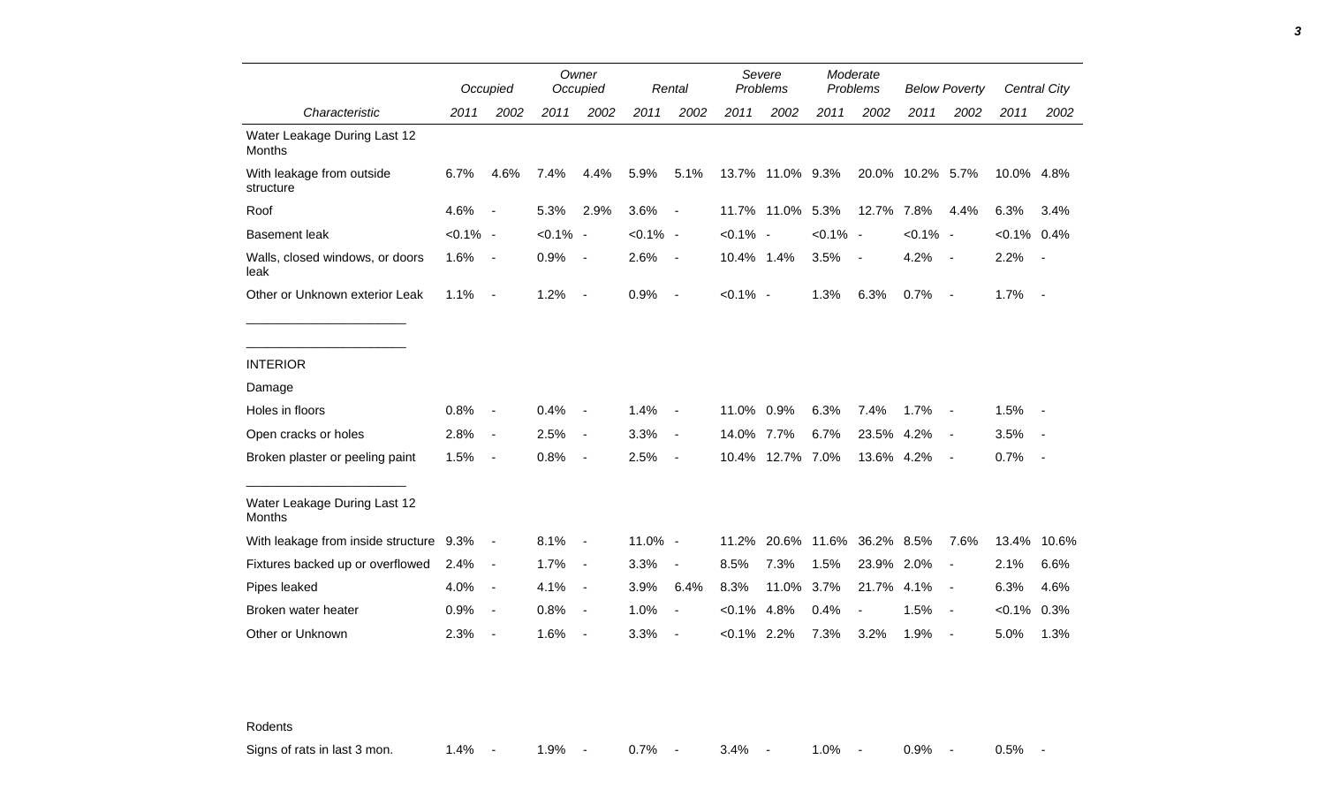|                                               |             | Occupied                 |             | Owner<br>Occupied        |             | Rental                   |             | Severe<br>Problems |             | Moderate<br>Problems     |                  | <b>Below Poverty</b>     |                | Central City |
|-----------------------------------------------|-------------|--------------------------|-------------|--------------------------|-------------|--------------------------|-------------|--------------------|-------------|--------------------------|------------------|--------------------------|----------------|--------------|
| Characteristic                                | 2011        | 2002                     | 2011        | 2002                     | 2011        | 2002                     | 2011        | 2002               | 2011        | 2002                     | 2011             | 2002                     | 2011           | 2002         |
| Water Leakage During Last 12<br>Months        |             |                          |             |                          |             |                          |             |                    |             |                          |                  |                          |                |              |
| With leakage from outside<br>structure        | 6.7%        | 4.6%                     | 7.4%        | 4.4%                     | 5.9%        | 5.1%                     |             | 13.7% 11.0% 9.3%   |             |                          | 20.0% 10.2% 5.7% |                          | 10.0% 4.8%     |              |
| Roof                                          | 4.6%        | $\overline{\phantom{a}}$ | 5.3%        | 2.9%                     | 3.6%        | $\blacksquare$           |             | 11.7% 11.0%        | 5.3%        | 12.7%                    | 7.8%             | 4.4%                     | 6.3%           | 3.4%         |
| <b>Basement leak</b>                          | $< 0.1\%$ - |                          | $< 0.1\%$ - |                          | $< 0.1\%$ - |                          | $< 0.1\%$ - |                    | $< 0.1\%$ - |                          | $< 0.1\%$ -      |                          | $< 0.1\%$ 0.4% |              |
| Walls, closed windows, or doors<br>leak       | 1.6%        | $\overline{\phantom{a}}$ | 0.9%        | $\blacksquare$           | 2.6%        | $\overline{\phantom{a}}$ | 10.4% 1.4%  |                    | 3.5%        | $\overline{\phantom{a}}$ | 4.2%             | $\sim$                   | 2.2%           | $\sim$       |
| Other or Unknown exterior Leak                | 1.1%        | $\overline{\phantom{a}}$ | 1.2%        | $\blacksquare$           | 0.9%        | $\overline{\phantom{a}}$ | $< 0.1\%$ - |                    | 1.3%        | 6.3%                     | 0.7%             | $\sim$                   | 1.7%           | $\sim$ $-$   |
|                                               |             |                          |             |                          |             |                          |             |                    |             |                          |                  |                          |                |              |
| <b>INTERIOR</b>                               |             |                          |             |                          |             |                          |             |                    |             |                          |                  |                          |                |              |
| Damage                                        |             |                          |             |                          |             |                          |             |                    |             |                          |                  |                          |                |              |
| Holes in floors                               | 0.8%        | $\blacksquare$           | 0.4%        | $\blacksquare$           | 1.4%        | $\overline{\phantom{a}}$ | 11.0% 0.9%  |                    | 6.3%        | 7.4%                     | 1.7%             | $\overline{\phantom{a}}$ | 1.5%           |              |
| Open cracks or holes                          | 2.8%        | $\overline{\phantom{a}}$ | 2.5%        | $\blacksquare$           | 3.3%        | $\blacksquare$           | 14.0% 7.7%  |                    | 6.7%        | 23.5% 4.2%               |                  | $\overline{\phantom{a}}$ | 3.5%           | $\sim$       |
| Broken plaster or peeling paint               | 1.5%        | $\overline{\phantom{a}}$ | 0.8%        | $\overline{\phantom{a}}$ | 2.5%        | $\overline{\phantom{a}}$ |             | 10.4% 12.7% 7.0%   |             | 13.6% 4.2%               |                  | $\overline{\phantom{a}}$ | 0.7%           | $\sim$       |
| Water Leakage During Last 12<br><b>Months</b> |             |                          |             |                          |             |                          |             |                    |             |                          |                  |                          |                |              |
| With leakage from inside structure 9.3%       |             | $\blacksquare$           | 8.1%        | $\overline{\phantom{a}}$ | 11.0% -     |                          | 11.2%       | 20.6%              |             | 11.6% 36.2% 8.5%         |                  | 7.6%                     | 13.4%          | 10.6%        |
| Fixtures backed up or overflowed              | 2.4%        | $\overline{\phantom{a}}$ | 1.7%        | $\blacksquare$           | 3.3%        | $\overline{\phantom{a}}$ | 8.5%        | 7.3%               | 1.5%        | 23.9% 2.0%               |                  | $\overline{\phantom{a}}$ | 2.1%           | 6.6%         |
| Pipes leaked                                  | 4.0%        | $\overline{\phantom{a}}$ | 4.1%        | $\blacksquare$           | 3.9%        | 6.4%                     | 8.3%        | 11.0%              | 3.7%        | 21.7%                    | 4.1%             | $\overline{\phantom{a}}$ | 6.3%           | 4.6%         |
| Broken water heater                           | 0.9%        | $\overline{\phantom{a}}$ | 0.8%        | $\blacksquare$           | 1.0%        | $\blacksquare$           | $< 0.1\%$   | 4.8%               | 0.4%        |                          | 1.5%             | $\overline{\phantom{a}}$ | $< 0.1\%$      | 0.3%         |
| Other or Unknown                              | 2.3%        | $\overline{\phantom{a}}$ | 1.6%        | $\blacksquare$           | 3.3%        |                          | $< 0.1\%$   | 2.2%               | 7.3%        | 3.2%                     | 1.9%             | $\overline{\phantom{a}}$ | 5.0%           | 1.3%         |

Rodents

Signs of rats in last 3 mon. 1.4% - 1.9% - 0.7% - 3.4% - 1.0% - 0.9% - 0.5% -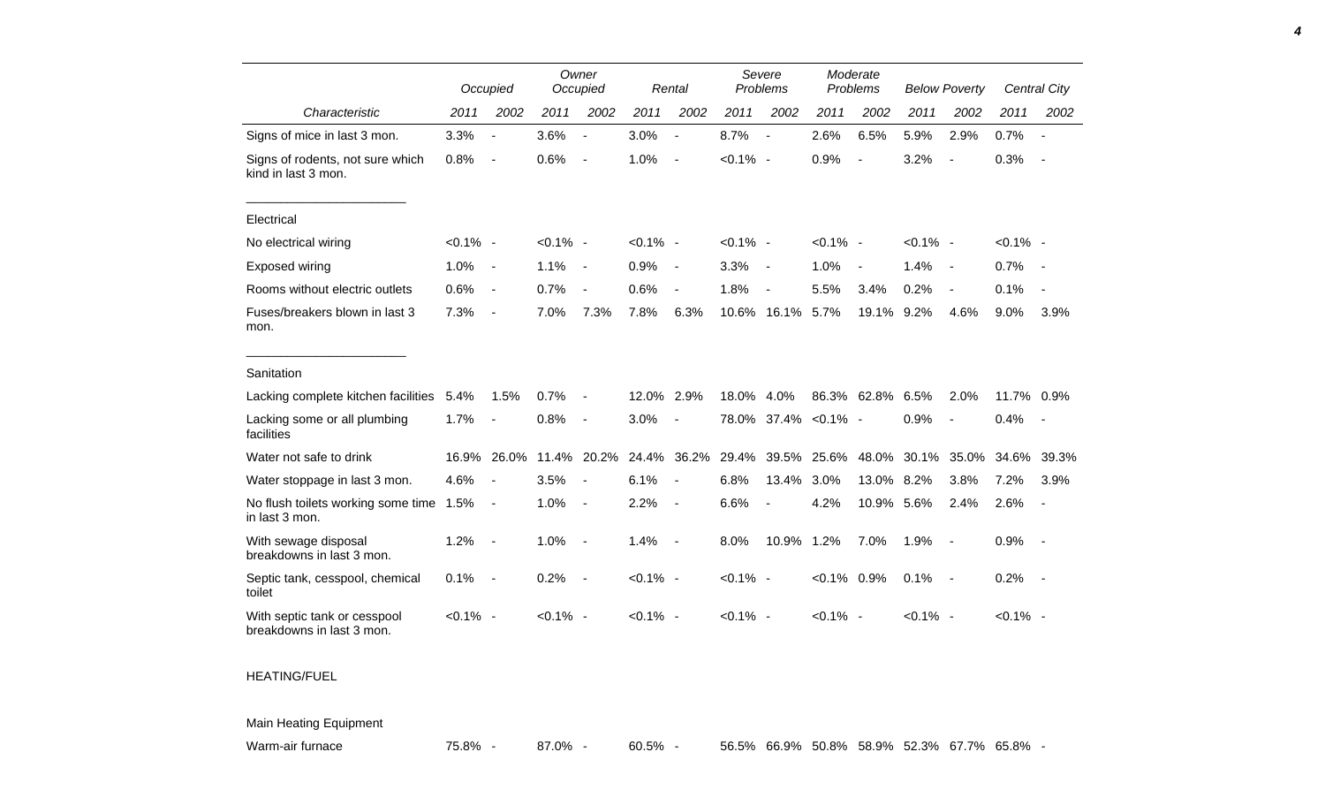|                                                           |             | Occupied                 |             | Owner<br>Occupied        |             | Rental                   |             | Severe<br>Problems       | Moderate<br>Problems |                  | <b>Below Poverty</b> |                          |             | Central City             |
|-----------------------------------------------------------|-------------|--------------------------|-------------|--------------------------|-------------|--------------------------|-------------|--------------------------|----------------------|------------------|----------------------|--------------------------|-------------|--------------------------|
| Characteristic                                            | 2011        | 2002                     | 2011        | 2002                     | 2011        | 2002                     | 2011        | 2002                     | 2011                 | 2002             | 2011                 | 2002                     | 2011        | 2002                     |
| Signs of mice in last 3 mon.                              | 3.3%        | $\blacksquare$           | 3.6%        | $\blacksquare$           | 3.0%        | $\overline{a}$           | 8.7%        | $\blacksquare$           | 2.6%                 | 6.5%             | 5.9%                 | 2.9%                     | 0.7%        | $\overline{\phantom{a}}$ |
| Signs of rodents, not sure which<br>kind in last 3 mon.   | 0.8%        | $\overline{\phantom{a}}$ | 0.6%        | $\blacksquare$           | 1.0%        | $\overline{\phantom{a}}$ | $< 0.1\%$ - |                          | 0.9%                 | $\blacksquare$   | 3.2%                 | $\blacksquare$           | 0.3%        | $\overline{\phantom{a}}$ |
| Electrical                                                |             |                          |             |                          |             |                          |             |                          |                      |                  |                      |                          |             |                          |
| No electrical wiring                                      | $< 0.1\%$ - |                          | $< 0.1\%$ - |                          | $< 0.1\%$ - |                          | $< 0.1\%$ - |                          | $< 0.1\%$ -          |                  | $< 0.1\%$ -          |                          | $< 0.1\%$ - |                          |
| Exposed wiring                                            | 1.0%        | $\blacksquare$           | 1.1%        | $\overline{\phantom{a}}$ | 0.9%        | $\blacksquare$           | 3.3%        | $\blacksquare$           | 1.0%                 | $\blacksquare$   | 1.4%                 | $\overline{\phantom{a}}$ | 0.7%        |                          |
| Rooms without electric outlets                            | 0.6%        | $\overline{\phantom{a}}$ | 0.7%        | $\blacksquare$           | 0.6%        | $\overline{a}$           | 1.8%        | $\overline{\phantom{a}}$ | 5.5%                 | 3.4%             | 0.2%                 | $\blacksquare$           | 0.1%        |                          |
| Fuses/breakers blown in last 3<br>mon.                    | 7.3%        | $\overline{\phantom{a}}$ | 7.0%        | 7.3%                     | 7.8%        | 6.3%                     | 10.6%       | 16.1%                    | 5.7%                 | 19.1%            | 9.2%                 | 4.6%                     | 9.0%        | 3.9%                     |
| Sanitation                                                |             |                          |             |                          |             |                          |             |                          |                      |                  |                      |                          |             |                          |
| Lacking complete kitchen facilities                       | 5.4%        | 1.5%                     | 0.7%        | $\overline{\phantom{a}}$ | 12.0%       | 2.9%                     | 18.0%       | 4.0%                     |                      | 86.3% 62.8% 6.5% |                      | 2.0%                     | 11.7% 0.9%  |                          |
| Lacking some or all plumbing<br>facilities                | 1.7%        |                          | 0.8%        | $\blacksquare$           | 3.0%        | $\blacksquare$           |             |                          | 78.0% 37.4% < 0.1% - |                  | 0.9%                 |                          | 0.4%        | $\overline{\phantom{a}}$ |
| Water not safe to drink                                   | 16.9%       | 26.0%                    | 11.4%       | 20.2%                    | 24.4%       | 36.2%                    | 29.4%       | 39.5%                    | 25.6%                | 48.0%            | 30.1%                | 35.0%                    | 34.6%       | 39.3%                    |
| Water stoppage in last 3 mon.                             | 4.6%        |                          | 3.5%        |                          | 6.1%        | $\overline{a}$           | 6.8%        | 13.4%                    | 3.0%                 | 13.0% 8.2%       |                      | 3.8%                     | 7.2%        | 3.9%                     |
| No flush toilets working some time 1.5%<br>in last 3 mon. |             | $\blacksquare$           | 1.0%        | $\sim$                   | 2.2%        | $\blacksquare$           | 6.6%        | $\blacksquare$           | 4.2%                 | 10.9% 5.6%       |                      | 2.4%                     | 2.6%        |                          |
| With sewage disposal<br>breakdowns in last 3 mon.         | 1.2%        | $\blacksquare$           | 1.0%        | $\blacksquare$           | 1.4%        | $\overline{\phantom{a}}$ | 8.0%        | 10.9%                    | 1.2%                 | 7.0%             | 1.9%                 | $\sim$                   | 0.9%        | $\sim$                   |
| Septic tank, cesspool, chemical<br>toilet                 | 0.1%        | $\overline{\phantom{a}}$ | 0.2%        | $\overline{\phantom{a}}$ | $< 0.1\%$ - |                          | $< 0.1\%$ - |                          | $< 0.1\%$ 0.9%       |                  | 0.1%                 | $\sim$                   | 0.2%        | $\sim$                   |
| With septic tank or cesspool<br>breakdowns in last 3 mon. | $< 0.1\%$ - |                          | $< 0.1\%$ - |                          | $< 0.1\%$ - |                          | $< 0.1\%$ - |                          | $< 0.1\%$ -          |                  | $< 0.1\%$ -          |                          | $< 0.1\%$ - |                          |

## HEATING/FUEL

## Main Heating Equipment

Warm-air furnace **75.8% - 87.0% - 60.5% - 56.5% 66.9% 50.8%** 58.9% 52.3% 67.7% 65.8%

*4*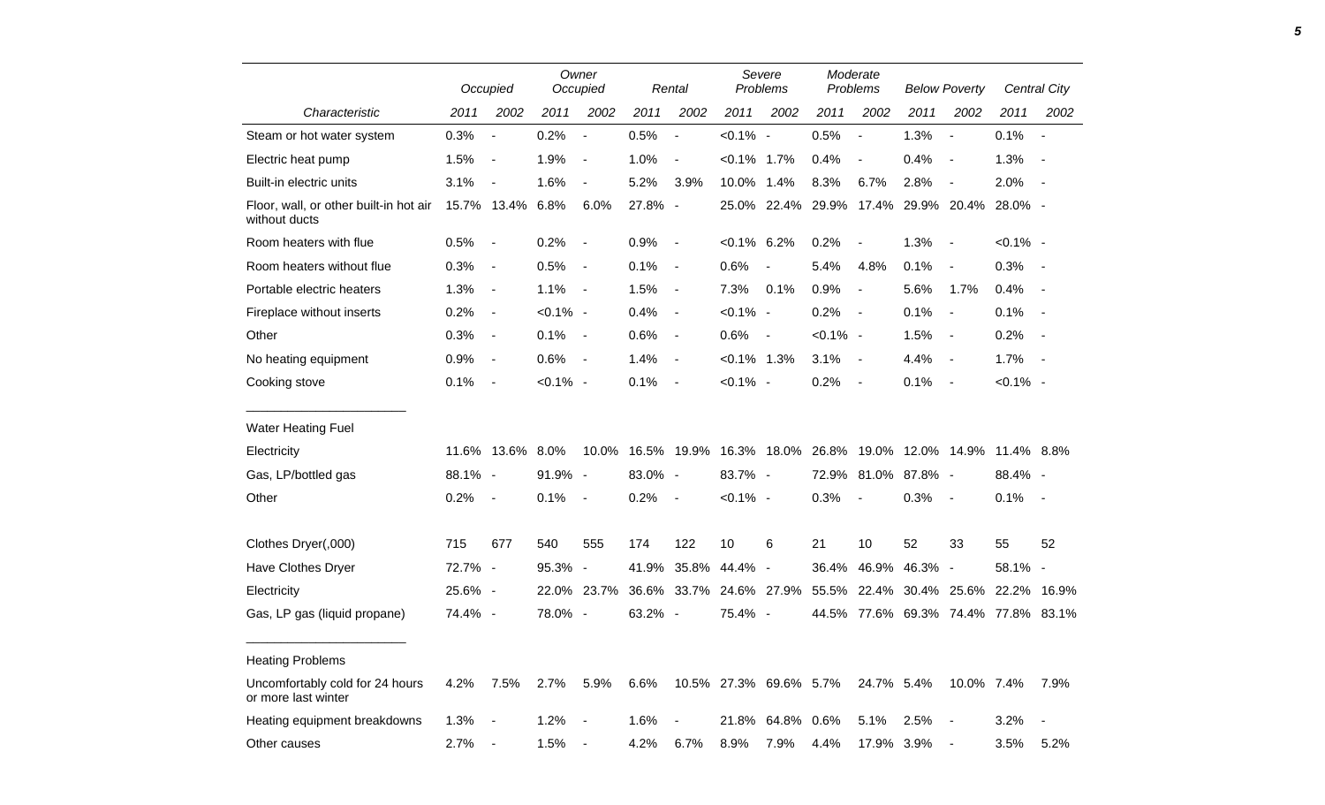|                                                         |         | Occupied                 |             | Owner<br>Occupied        | Rental  |                          | Severe<br>Problems      |                  | Moderate<br>Problems                |                | <b>Below Poverty</b> |                                    | Central City |            |
|---------------------------------------------------------|---------|--------------------------|-------------|--------------------------|---------|--------------------------|-------------------------|------------------|-------------------------------------|----------------|----------------------|------------------------------------|--------------|------------|
| Characteristic                                          | 2011    | 2002                     | 2011        | 2002                     | 2011    | 2002                     | 2011                    | 2002             | 2011                                | 2002           | 2011                 | 2002                               | 2011         | 2002       |
| Steam or hot water system                               | 0.3%    | $\blacksquare$           | 0.2%        | $\blacksquare$           | 0.5%    | $\overline{\phantom{a}}$ | $< 0.1\%$ -             |                  | 0.5%                                | $\blacksquare$ | 1.3%                 | $\blacksquare$                     | 0.1%         | $\sim$ $-$ |
| Electric heat pump                                      | 1.5%    | $\blacksquare$           | 1.9%        | $\overline{\phantom{a}}$ | 1.0%    | $\blacksquare$           | $< 0.1\%$ 1.7%          |                  | 0.4%                                | $\blacksquare$ | 0.4%                 | $\blacksquare$                     | 1.3%         | $\sim$ $-$ |
| Built-in electric units                                 | 3.1%    | $\overline{\phantom{a}}$ | 1.6%        | $\overline{\phantom{a}}$ | 5.2%    | 3.9%                     | 10.0% 1.4%              |                  | 8.3%                                | 6.7%           | 2.8%                 | $\overline{\phantom{a}}$           | 2.0%         | $\sim$ $-$ |
| Floor, wall, or other built-in hot air<br>without ducts |         | 15.7% 13.4%              | 6.8%        | 6.0%                     | 27.8% - |                          |                         |                  | 25.0% 22.4% 29.9% 17.4% 29.9% 20.4% |                |                      |                                    | 28.0% -      |            |
| Room heaters with flue                                  | 0.5%    | $\sim$                   | 0.2%        | $\overline{\phantom{a}}$ | 0.9%    | $\blacksquare$           | $< 0.1\%$ 6.2%          |                  | 0.2%                                | $\blacksquare$ | 1.3%                 | $\blacksquare$                     | $< 0.1\%$ -  |            |
| Room heaters without flue                               | 0.3%    | $\blacksquare$           | 0.5%        | $\blacksquare$           | 0.1%    | $\blacksquare$           | 0.6%                    | $\blacksquare$   | 5.4%                                | 4.8%           | 0.1%                 | $\blacksquare$                     | $0.3\%$ -    |            |
| Portable electric heaters                               | 1.3%    | $\blacksquare$           | 1.1%        | $\sim$ $-$               | 1.5%    | $\blacksquare$           | 7.3%                    | 0.1%             | 0.9%                                | $\blacksquare$ | 5.6%                 | 1.7%                               | 0.4%         | $\sim$ $-$ |
| Fireplace without inserts                               | 0.2%    | $\blacksquare$           | $< 0.1\%$ - |                          | 0.4%    | $\blacksquare$           | $< 0.1\%$ -             |                  | 0.2%                                | $\sim$         | 0.1%                 | $\blacksquare$                     | 0.1%         | $\sim$ $-$ |
| Other                                                   | 0.3%    | $\overline{\phantom{a}}$ | 0.1%        | $\sim$                   | 0.6%    | $\blacksquare$           | 0.6%                    | $\sim$ $\sim$    | $< 0.1\%$ -                         |                | 1.5%                 | $\blacksquare$                     | 0.2%         | $\sim$ $-$ |
| No heating equipment                                    | 0.9%    | $\blacksquare$           | 0.6%        | $\sim$                   | 1.4%    | $\blacksquare$           | $< 0.1\%$ 1.3%          |                  | 3.1%                                | $\sim$         | 4.4%                 | $\blacksquare$                     | $1.7\%$ -    |            |
| Cooking stove                                           | 0.1%    | $\overline{\phantom{a}}$ | $< 0.1\%$ - |                          | 0.1%    | $\blacksquare$           | $< 0.1\%$ -             |                  | 0.2%                                | $\sim$         | 0.1%                 | $\blacksquare$                     | $< 0.1\%$ -  |            |
| <b>Water Heating Fuel</b>                               |         |                          |             |                          |         |                          |                         |                  |                                     |                |                      |                                    |              |            |
| Electricity                                             |         | 11.6% 13.6% 8.0%         |             | 10.0%                    |         |                          | 16.5% 19.9% 16.3% 18.0% |                  |                                     |                |                      | 26.8% 19.0% 12.0% 14.9% 11.4% 8.8% |              |            |
| Gas, LP/bottled gas                                     | 88.1% - |                          | 91.9% -     |                          | 83.0% - |                          | 83.7% -                 |                  |                                     |                | 72.9% 81.0% 87.8% -  |                                    | 88.4% -      |            |
| Other                                                   | 0.2%    | $\blacksquare$           | 0.1%        | $\blacksquare$           | 0.2%    | $\blacksquare$           | $< 0.1\%$ -             |                  | 0.3%                                | $\blacksquare$ | 0.3%                 | $\blacksquare$                     | 0.1%         | $\sim$ $-$ |
| Clothes Dryer(,000)                                     | 715     | 677                      | 540         | 555                      | 174     | 122                      | 10                      | 6                | 21                                  | 10             | 52                   | 33                                 | 55           | 52         |
| Have Clothes Dryer                                      | 72.7% - |                          | 95.3% -     |                          |         |                          | 41.9% 35.8% 44.4% -     |                  | 36.4%                               | 46.9%          | 46.3% -              |                                    | $58.1\% -$   |            |
| Electricity                                             | 25.6% - |                          |             | 22.0% 23.7%              |         |                          | 36.6% 33.7% 24.6% 27.9% |                  | 55.5%                               |                | 22.4% 30.4% 25.6%    |                                    | 22.2% 16.9%  |            |
| Gas, LP gas (liquid propane)                            | 74.4% - |                          | 78.0% -     |                          | 63.2% - |                          | 75.4% -                 |                  | 44.5%                               |                |                      | 77.6% 69.3% 74.4% 77.8% 83.1%      |              |            |
| <b>Heating Problems</b>                                 |         |                          |             |                          |         |                          |                         |                  |                                     |                |                      |                                    |              |            |
| Uncomfortably cold for 24 hours<br>or more last winter  | 4.2%    | 7.5%                     | 2.7%        | 5.9%                     | 6.6%    |                          | 10.5% 27.3% 69.6% 5.7%  |                  |                                     | 24.7% 5.4%     |                      | 10.0% 7.4%                         |              | 7.9%       |
| Heating equipment breakdowns                            | 1.3%    | $\sim$                   | 1.2%        | $\blacksquare$           | 1.6%    |                          |                         | 21.8% 64.8% 0.6% |                                     | 5.1%           | 2.5%                 | $\blacksquare$                     | 3.2%         | $\sim$     |
| Other causes                                            | 2.7%    | $\blacksquare$           | 1.5%        | $\blacksquare$           | 4.2%    | 6.7%                     | 8.9%                    | 7.9%             | 4.4%                                | 17.9% 3.9%     |                      | $\blacksquare$                     | 3.5%         | 5.2%       |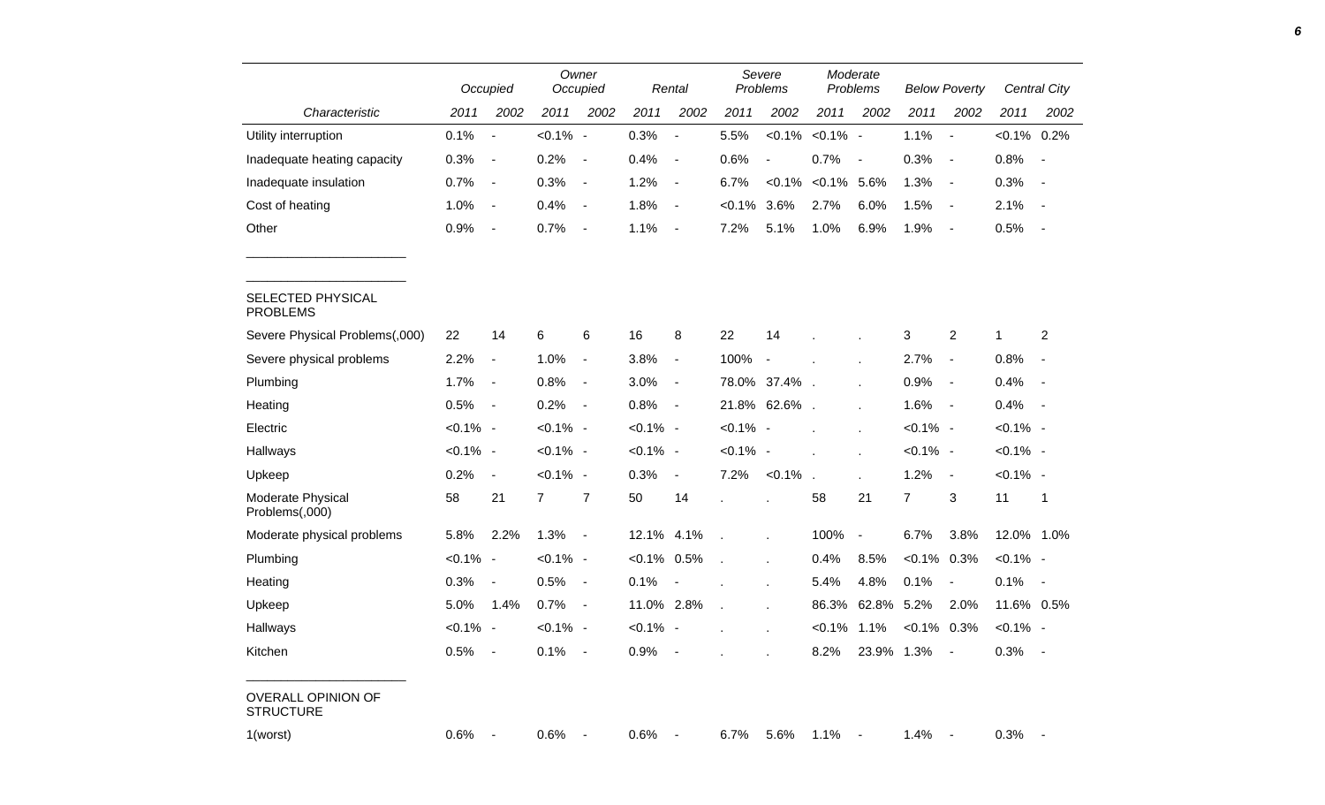|                                               |             | Occupied                 |                | Owner<br>Occupied        |             | Rental                   |             | Severe<br>Problems |                | Moderate<br>Problems     |                | <b>Below Poverty</b>     |                | <b>Central City</b>      |
|-----------------------------------------------|-------------|--------------------------|----------------|--------------------------|-------------|--------------------------|-------------|--------------------|----------------|--------------------------|----------------|--------------------------|----------------|--------------------------|
| Characteristic                                | 2011        | 2002                     | 2011           | 2002                     | 2011        | 2002                     | 2011        | 2002               | 2011           | 2002                     | 2011           | 2002                     | 2011           | 2002                     |
| Utility interruption                          | 0.1%        | $\overline{\phantom{a}}$ | $< 0.1\%$ -    |                          | 0.3%        | $\overline{\phantom{a}}$ | 5.5%        | $< 0.1\%$          | $< 0.1\%$ -    |                          | 1.1%           | $\overline{\phantom{a}}$ | $< 0.1\%$ 0.2% |                          |
| Inadequate heating capacity                   | 0.3%        | $\overline{\phantom{a}}$ | 0.2%           | $\overline{\phantom{a}}$ | 0.4%        | $\blacksquare$           | 0.6%        | $\blacksquare$     | 0.7%           | $\overline{\phantom{a}}$ | 0.3%           | $\overline{\phantom{a}}$ | 0.8%           | $\sim$                   |
| Inadequate insulation                         | 0.7%        | $\overline{\phantom{0}}$ | 0.3%           | $\blacksquare$           | 1.2%        | $\blacksquare$           | 6.7%        | $< 0.1\%$          | $< 0.1\%$ 5.6% |                          | 1.3%           | $\overline{\phantom{a}}$ | 0.3%           | $\sim$                   |
| Cost of heating                               | 1.0%        | $\blacksquare$           | 0.4%           | $\blacksquare$           | 1.8%        | $\blacksquare$           | $< 0.1\%$   | 3.6%               | 2.7%           | 6.0%                     | 1.5%           | $\sim$                   | 2.1%           | $\sim$                   |
| Other                                         | 0.9%        | $\blacksquare$           | 0.7%           | $\blacksquare$           | 1.1%        | $\blacksquare$           | 7.2%        | 5.1%               | 1.0%           | 6.9%                     | 1.9%           | $\overline{\phantom{a}}$ | 0.5%           |                          |
| SELECTED PHYSICAL<br><b>PROBLEMS</b>          |             |                          |                |                          |             |                          |             |                    |                |                          |                |                          |                |                          |
| Severe Physical Problems(,000)                | 22          | 14                       | 6              | 6                        | 16          | 8                        | 22          | 14                 |                |                          | 3              | $\overline{c}$           | 1              | 2                        |
| Severe physical problems                      | 2.2%        | $\blacksquare$           | 1.0%           | $\blacksquare$           | 3.8%        | $\blacksquare$           | 100%        | $\blacksquare$     |                |                          | 2.7%           | $\blacksquare$           | 0.8%           | $\blacksquare$           |
| Plumbing                                      | 1.7%        | $\blacksquare$           | 0.8%           | $\blacksquare$           | 3.0%        | $\blacksquare$           |             | 78.0% 37.4%        |                |                          | 0.9%           | $\blacksquare$           | 0.4%           | $\overline{\phantom{a}}$ |
| Heating                                       | 0.5%        | $\overline{\phantom{a}}$ | 0.2%           | $\blacksquare$           | 0.8%        | $\blacksquare$           | 21.8%       | 62.6%.             |                | $\mathbf{r}$             | 1.6%           | $\sim$                   | 0.4%           | $\overline{\phantom{a}}$ |
| Electric                                      | $< 0.1\%$ - |                          | $< 0.1\%$ -    |                          | $< 0.1\%$ - |                          | $< 0.1\%$ - |                    |                |                          | $< 0.1\%$ -    |                          | $< 0.1\%$ -    |                          |
| Hallways                                      | $< 0.1\%$ - |                          | $< 0.1\%$ -    |                          | $< 0.1\%$ - |                          | $< 0.1\%$ - |                    |                |                          | $< 0.1\%$ -    |                          | $< 0.1\%$ -    |                          |
| Upkeep                                        | 0.2%        | $\blacksquare$           | $< 0.1\%$ -    |                          | 0.3%        | $\overline{\phantom{a}}$ | 7.2%        | $< 0.1\%$          |                |                          | 1.2%           | $\sim$                   | $< 0.1\%$ -    |                          |
| Moderate Physical<br>Problems(,000)           | 58          | 21                       | $\overline{7}$ | $\overline{7}$           | 50          | 14                       |             |                    | 58             | 21                       | $\overline{7}$ | 3                        | 11             | 1                        |
| Moderate physical problems                    | 5.8%        | 2.2%                     | 1.3%           | $\blacksquare$           | 12.1%       | 4.1%                     |             |                    | 100%           | $\overline{\phantom{a}}$ | 6.7%           | 3.8%                     | 12.0% 1.0%     |                          |
| Plumbing                                      | $< 0.1\%$ - |                          | $< 0.1\%$ -    |                          | $< 0.1\%$   | 0.5%                     | J.          |                    | 0.4%           | 8.5%                     | $< 0.1\%$ 0.3% |                          | $< 0.1\%$ -    |                          |
| Heating                                       | 0.3%        | $\overline{\phantom{a}}$ | 0.5%           | $\blacksquare$           | 0.1%        | $\blacksquare$           |             |                    | 5.4%           | 4.8%                     | 0.1%           | $\blacksquare$           | 0.1%           | $\sim$                   |
| Upkeep                                        | 5.0%        | 1.4%                     | 0.7%           | $\overline{\phantom{a}}$ | 11.0% 2.8%  |                          | $\lambda$   |                    | 86.3%          | 62.8%                    | 5.2%           | 2.0%                     | 11.6% 0.5%     |                          |
| Hallways                                      | $< 0.1\%$ - |                          | $< 0.1\%$ -    |                          | $< 0.1\%$ - |                          |             |                    | $< 0.1\%$ 1.1% |                          | $< 0.1\%$ 0.3% |                          | $< 0.1\%$ -    |                          |
| Kitchen                                       | 0.5%        | $\blacksquare$           | 0.1%           | $\blacksquare$           | 0.9%        | $\overline{\phantom{a}}$ |             |                    | 8.2%           | 23.9% 1.3%               |                | $\sim$ $-$               | $0.3\%$ -      |                          |
| <b>OVERALL OPINION OF</b><br><b>STRUCTURE</b> |             |                          |                |                          |             |                          |             |                    |                |                          |                |                          |                |                          |
| 1(worst)                                      | $0.6\%$     | $\blacksquare$           | 0.6%           | $\sim$ $-$               | 0.6%        | $\sim$ $-$               | 6.7%        | 5.6%               | 1.1%           | $\sim$                   | 1.4%           |                          | $0.3\%$ -      |                          |